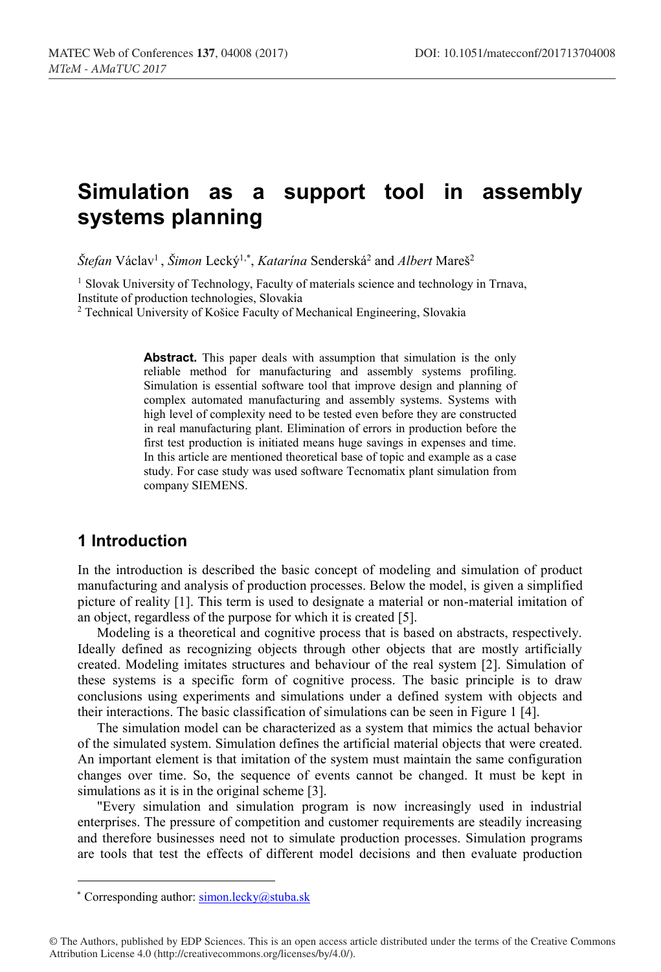# **Simulation as a support tool in assembly systems planning**

 $\mathcal{S}$ tefan Václav<sup>1</sup>,  $\mathcal{S}$ imon Lecký<sup>1,\*</sup>, *Katarína* Senderská<sup>2</sup> and Albert Mareš<sup>2</sup>

<sup>1</sup> Slovak University of Technology, Faculty of materials science and technology in Trnava, Institute of production technologies, Slovakia

<sup>2</sup> Technical University of Košice Faculty of Mechanical Engineering, Slovakia

**Abstract.** This paper deals with assumption that simulation is the only reliable method for manufacturing and assembly systems profiling. Simulation is essential software tool that improve design and planning of complex automated manufacturing and assembly systems. Systems with high level of complexity need to be tested even before they are constructed in real manufacturing plant. Elimination of errors in production before the first test production is initiated means huge savings in expenses and time. In this article are mentioned theoretical base of topic and example as a case study. For case study was used software Tecnomatix plant simulation from company SIEMENS.

### **1 Introduction**

In the introduction is described the basic concept of modeling and simulation of product manufacturing and analysis of production processes. Below the model, is given a simplified picture of reality [1]. This term is used to designate a material or non-material imitation of an object, regardless of the purpose for which it is created [5].

Modeling is a theoretical and cognitive process that is based on abstracts, respectively. Ideally defined as recognizing objects through other objects that are mostly artificially created. Modeling imitates structures and behaviour of the real system [2]. Simulation of these systems is a specific form of cognitive process. The basic principle is to draw conclusions using experiments and simulations under a defined system with objects and their interactions. The basic classification of simulations can be seen in Figure 1 [4].

The simulation model can be characterized as a system that mimics the actual behavior of the simulated system. Simulation defines the artificial material objects that were created. An important element is that imitation of the system must maintain the same configuration changes over time. So, the sequence of events cannot be changed. It must be kept in simulations as it is in the original scheme [3].

"Every simulation and simulation program is now increasingly used in industrial enterprises. The pressure of competition and customer requirements are steadily increasing and therefore businesses need not to simulate production processes. Simulation programs are tools that test the effects of different model decisions and then evaluate production

\* Corresponding author: **simon.lecky@stuba.sk** 

<sup>©</sup> The Authors, published by EDP Sciences. This is an open access article distributed under the terms of the Creative Commons Attribution License 4.0 (http://creativecommons.org/licenses/by/4.0/).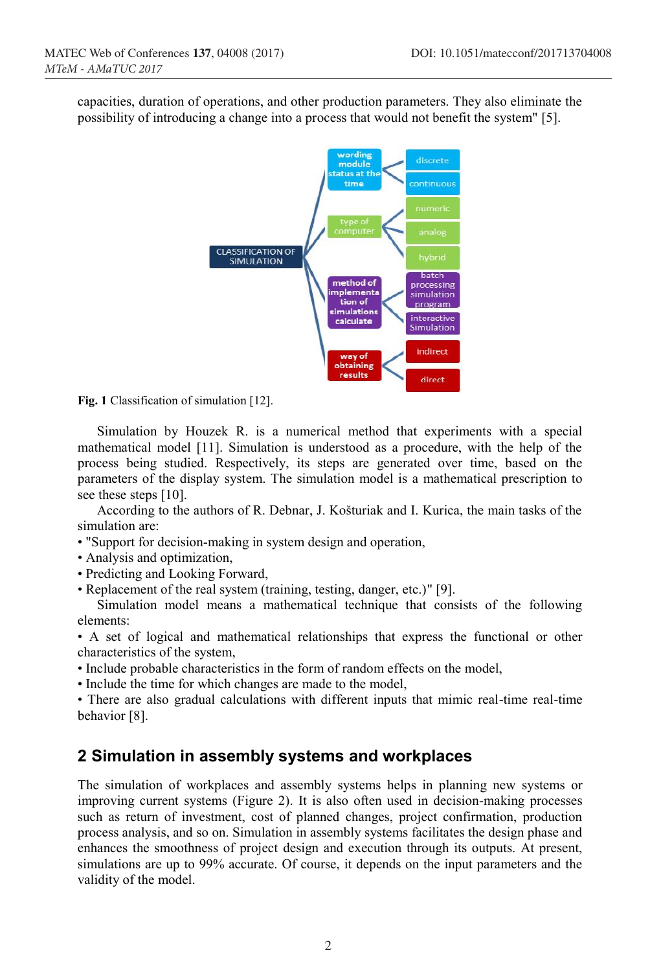capacities, duration of operations, and other production parameters. They also eliminate the possibility of introducing a change into a process that would not benefit the system" [5].



Fig. 1 Classification of simulation [12].

Simulation by Houzek R. is a numerical method that experiments with a special mathematical model [11]. Simulation is understood as a procedure, with the help of the process being studied. Respectively, its steps are generated over time, based on the parameters of the display system. The simulation model is a mathematical prescription to see these steps [10].

According to the authors of R. Debnar, J. Košturiak and I. Kurica, the main tasks of the simulation are:

- "Support for decision-making in system design and operation,
- Analysis and optimization,
- Predicting and Looking Forward,
- Replacement of the real system (training, testing, danger, etc.)" [9].

Simulation model means a mathematical technique that consists of the following elements:

• A set of logical and mathematical relationships that express the functional or other characteristics of the system,

- Include probable characteristics in the form of random effects on the model,
- Include the time for which changes are made to the model,

• There are also gradual calculations with different inputs that mimic real-time real-time behavior [8].

#### **2 Simulation in assembly systems and workplaces**

The simulation of workplaces and assembly systems helps in planning new systems or improving current systems (Figure 2). It is also often used in decision-making processes such as return of investment, cost of planned changes, project confirmation, production process analysis, and so on. Simulation in assembly systems facilitates the design phase and enhances the smoothness of project design and execution through its outputs. At present, simulations are up to 99% accurate. Of course, it depends on the input parameters and the validity of the model.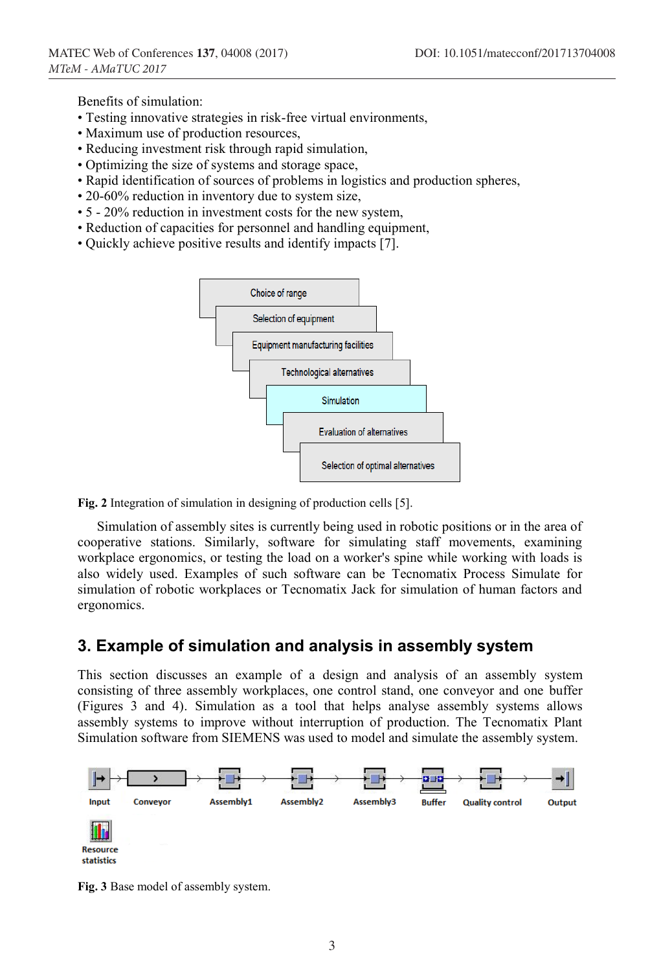Benefits of simulation:

- Testing innovative strategies in risk-free virtual environments,
- Maximum use of production resources,
- Reducing investment risk through rapid simulation,
- Optimizing the size of systems and storage space,
- Rapid identification of sources of problems in logistics and production spheres,
- 20-60% reduction in inventory due to system size,
- 5 20% reduction in investment costs for the new system,
- Reduction of capacities for personnel and handling equipment,
- Quickly achieve positive results and identify impacts [7].



Fig. 2 Integration of simulation in designing of production cells [5].

Simulation of assembly sites is currently being used in robotic positions or in the area of cooperative stations. Similarly, software for simulating staff movements, examining workplace ergonomics, or testing the load on a worker's spine while working with loads is also widely used. Examples of such software can be Tecnomatix Process Simulate for simulation of robotic workplaces or Tecnomatix Jack for simulation of human factors and ergonomics.

#### **3. Example of simulation and analysis in assembly system**

This section discusses an example of a design and analysis of an assembly system consisting of three assembly workplaces, one control stand, one conveyor and one buffer (Figures 3 and 4). Simulation as a tool that helps analyse assembly systems allows assembly systems to improve without interruption of production. The Tecnomatix Plant Simulation software from SIEMENS was used to model and simulate the assembly system.



**Fig. 3** Base model of assembly system.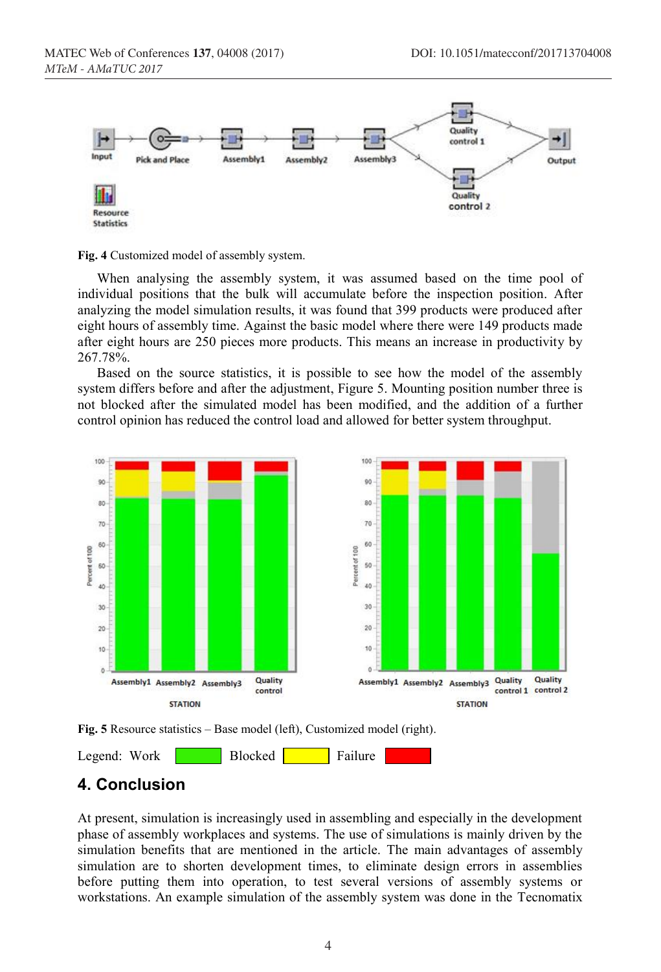



When analysing the assembly system, it was assumed based on the time pool of individual positions that the bulk will accumulate before the inspection position. After analyzing the model simulation results, it was found that 399 products were produced after eight hours of assembly time. Against the basic model where there were 149 products made after eight hours are 250 pieces more products. This means an increase in productivity by 267.78%.

Based on the source statistics, it is possible to see how the model of the assembly system differs before and after the adjustment, Figure 5. Mounting position number three is not blocked after the simulated model has been modified, and the addition of a further control opinion has reduced the control load and allowed for better system throughput.



**Fig. 5** Resource statistics – Base model (left), Customized model (right).

Legend: Work Blocked Failure

## **4. Conclusion**

At present, simulation is increasingly used in assembling and especially in the development phase of assembly workplaces and systems. The use of simulations is mainly driven by the simulation benefits that are mentioned in the article. The main advantages of assembly simulation are to shorten development times, to eliminate design errors in assemblies before putting them into operation, to test several versions of assembly systems or workstations. An example simulation of the assembly system was done in the Tecnomatix